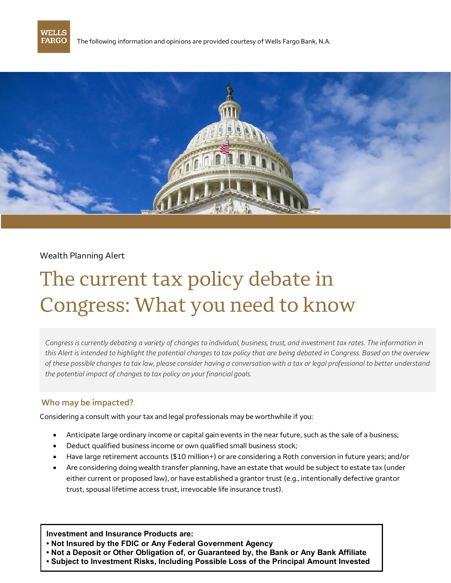

The following information and opinions are provided courtesy of Wells Fargo Bank, N.A.



## Wealth Planning Alert

# The current tax policy debate in Congress: What you need to know

*Congress is currently debating a variety of changes to individual, business, trust, and investment tax rates. The information in this Alert is intended to highlight the potential changes to tax policy that are being debated in Congress. Based on the overview of these possible changes to tax law, please consider having a conversation with a tax or legal professional to better understand the potential impact of changes to tax policy on your financial goals.* 

## **Who may be impacted?**

Considering a consult with your tax and legal professionals may be worthwhile if you:

- Anticipate large ordinary income or capital gain events in the near future, such as the sale of a business;
- Deduct qualified business income or own qualified small business stock;
- Have large retirement accounts (\$10 million+) or are considering a Roth conversion in future years; and/or
- Are considering doing wealth transfer planning, have an estate that would be subject to estate tax (under either current or proposed law), or have established a grantor trust (e.g., intentionally defective grantor trust, spousal lifetime access trust, irrevocable life insurance trust).

**Investment and Insurance Products are:**

- **• Not Insured by the FDIC or Any Federal Government Agency**
- **• Not a Deposit or Other Obligation of, or Guaranteed by, the Bank or Any Bank Affiliate**
- **• Subject to Investment Risks, Including Possible Loss of the Principal Amount Invested**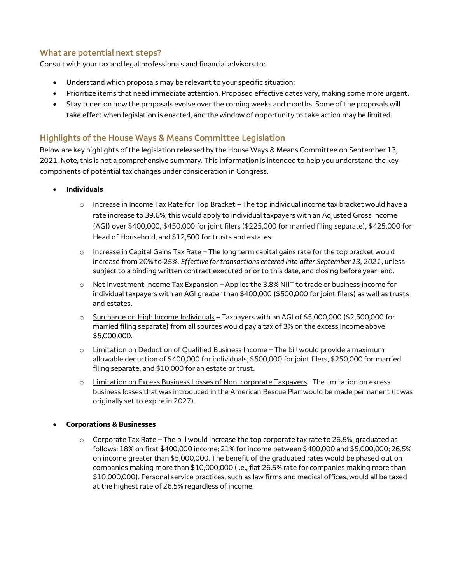# **What are potential next steps?**

Consult with your tax and legal professionals and financial advisors to:

- Understand which proposals may be relevant to your specific situation;
- Prioritize items that need immediate attention. Proposed effective dates vary, making some more urgent.
- Stay tuned on how the proposals evolve over the coming weeks and months. Some of the proposals will take effect when legislation is enacted, and the window of opportunity to take action may be limited.

## **Highlights of the House Ways & Means Committee Legislation**

Below are key highlights of the legislation released by the House Ways & Means Committee on September 13, 2021. Note, this is not a comprehensive summary. This information is intended to help you understand the key components of potential tax changes under consideration in Congress.

- **Individuals**
	- o Increase in Income Tax Rate for Top Bracket The top individual income tax bracket would have a rate increase to 39.6%; this would apply to individual taxpayers with an Adjusted Gross Income (AGI) over \$400,000, \$450,000 for joint filers (\$225,000 for married filing separate), \$425,000 for Head of Household, and \$12,500 for trusts and estates.
	- $\circ$  Increase in Capital Gains Tax Rate The long term capital gains rate for the top bracket would increase from 20% to 25%. *Effective for transactions entered into after September 13, 2021*, unless subject to a binding written contract executed prior to this date, and closing before year-end.
	- o Net Investment Income Tax Expansion Applies the 3.8% NIIT to trade or business income for individual taxpayers with an AGI greater than \$400,000 (\$500,000 for joint filers) as well as trusts and estates.
	- $\circ$  Surcharge on High Income Individuals Taxpayers with an AGI of \$5,000,000 (\$2,500,000 for married filing separate) from all sources would pay a tax of 3% on the excess income above \$5,000,000.
	- o Limitation on Deduction of Qualified Business Income The bill would provide a maximum allowable deduction of \$400,000 for individuals, \$500,000 for joint filers, \$250,000 for married filing separate, and \$10,000 for an estate or trust.
	- o Limitation on Excess Business Losses of Non-corporate Taxpayers –The limitation on excess business losses that was introduced in the American Rescue Plan would be made permanent (it was originally set to expire in 2027).

#### **Corporations & Businesses**

 $\circ$  Corporate Tax Rate – The bill would increase the top corporate tax rate to 26.5%, graduated as follows: 18% on first \$400,000 income; 21% for income between \$400,000 and \$5,000,000; 26.5% on income greater than \$5,000,000. The benefit of the graduated rates would be phased out on companies making more than \$10,000,000 (i.e., flat 26.5% rate for companies making more than \$10,000,000). Personal service practices, such as law firms and medical offices, would all be taxed at the highest rate of 26.5% regardless of income.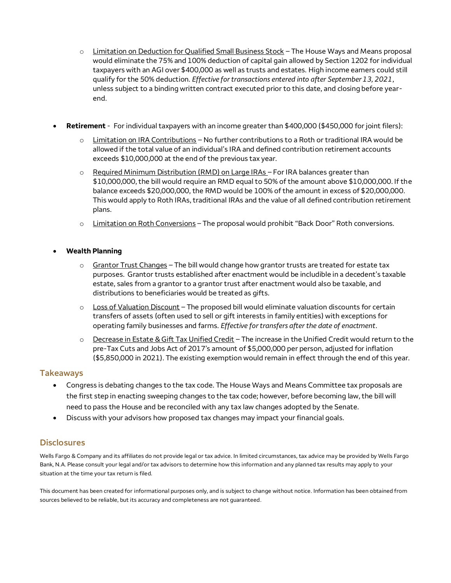- o Limitation on Deduction for Qualified Small Business Stock The House Ways and Means proposal would eliminate the 75% and 100% deduction of capital gain allowed by Section 1202 for individual taxpayers with an AGI over \$400,000 as well as trusts and estates. High income earners could still qualify for the 50% deduction. *Effective for transactions entered into after September 13, 2021*, unless subject to a binding written contract executed prior to this date, and closing before yearend.
- **Retirement** For individual taxpayers with an income greater than \$400,000 (\$450,000 for joint filers):
	- $\circ$  Limitation on IRA Contributions No further contributions to a Roth or traditional IRA would be allowed if the total value of an individual's IRA and defined contribution retirement accounts exceeds \$10,000,000 at the end of the previous tax year.
	- o Required Minimum Distribution (RMD) on Large IRAs For IRA balances greater than \$10,000,000, the bill would require an RMD equal to 50% of the amount above \$10,000,000. If the balance exceeds \$20,000,000, the RMD would be 100% of the amount in excess of \$20,000,000. This would apply to Roth IRAs, traditional IRAs and the value of all defined contribution retirement plans.
	- o Limitation on Roth Conversions The proposal would prohibit "Back Door" Roth conversions.

#### **Wealth Planning**

- $\circ$  Grantor Trust Changes The bill would change how grantor trusts are treated for estate tax purposes. Grantor trusts established after enactment would be includible in a decedent's taxable estate, sales from a grantor to a grantor trust after enactment would also be taxable, and distributions to beneficiaries would be treated as gifts.
- o Loss of Valuation Discount The proposed bill would eliminate valuation discounts for certain transfers of assets (often used to sell or gift interests in family entities) with exceptions for operating family businesses and farms. *Effective for transfers after the date of enactment*.
- o Decrease in Estate & Gift Tax Unified Credit The increase in the Unified Credit would return to the pre-Tax Cuts and Jobs Act of 2017's amount of \$5,000,000 per person, adjusted for inflation (\$5,850,000 in 2021). The existing exemption would remain in effect through the end of this year.

#### **Takeaways**

- Congress is debating changes to the tax code. The House Ways and Means Committee tax proposals are the first step in enacting sweeping changes to the tax code; however, before becoming law, the bill will need to pass the House and be reconciled with any tax law changes adopted by the Senate.
- Discuss with your advisors how proposed tax changes may impact your financial goals.

## **Disclosures**

Wells Fargo & Company and its affiliates do not provide legal or tax advice. In limited circumstances, tax advice may be provided by Wells Fargo Bank, N.A. Please consult your legal and/or tax advisors to determine how this information and any planned tax results may apply to your situation at the time your tax return is filed.

This document has been created for informational purposes only, and is subject to change without notice. Information has been obtained from sources believed to be reliable, but its accuracy and completeness are not guaranteed.